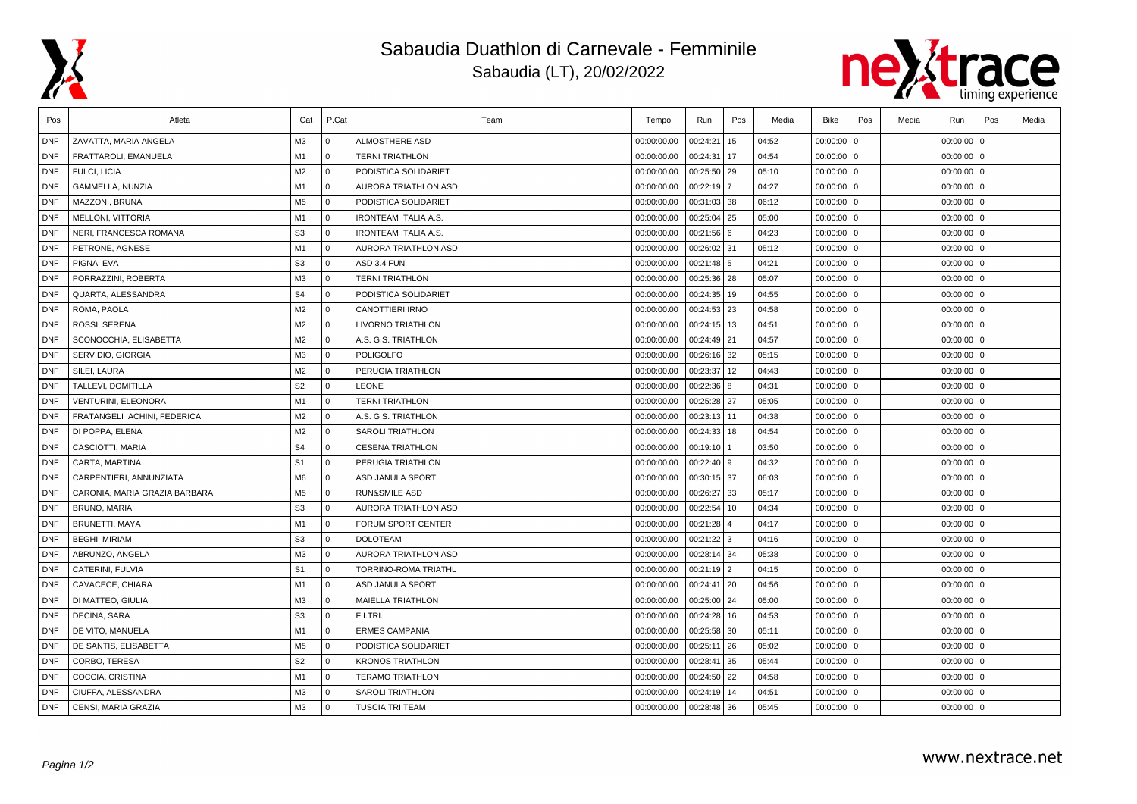

## Sabaudia Duathlon di Carnevale - Femminile Sabaudia (LT), 20/02/2022



| Pos        | Atleta                        | Cat            | P.Cat          | Team                        | Tempo       | Run           | Pos            | Media | Bike         | Pos | Media | Run          | Pos            | Media |
|------------|-------------------------------|----------------|----------------|-----------------------------|-------------|---------------|----------------|-------|--------------|-----|-------|--------------|----------------|-------|
| <b>DNF</b> | ZAVATTA, MARIA ANGELA         | M3             | 0              | ALMOSTHERE ASD              | 00:00:00.00 | 00:24:21      | 15             | 04:52 | $00:00:00$ 0 |     |       | 00:00:00     | $\mathbf{0}$   |       |
| <b>DNF</b> | FRATTAROLI, EMANUELA          | M1             | l 0            | <b>TERNI TRIATHLON</b>      | 00:00:00.00 | 00:24:31      | 17             | 04:54 | $00:00:00$ 0 |     |       | $00:00:00$ 0 |                |       |
| <b>DNF</b> | FULCI, LICIA                  | M2             | $\overline{0}$ | PODISTICA SOLIDARIET        | 00:00:00.00 | 00:25:50      | 29             | 05:10 | $00:00:00$ 0 |     |       | 00:00:00     | 0              |       |
| <b>DNF</b> | GAMMELLA, NUNZIA              | M <sub>1</sub> | 0              | AURORA TRIATHLON ASD        | 00:00:00.00 | 00:22:19      | $\overline{7}$ | 04:27 | 00:00:00 0   |     |       | 00:00:00     | l o            |       |
| <b>DNF</b> | MAZZONI, BRUNA                | M <sub>5</sub> | $\mathbf{0}$   | PODISTICA SOLIDARIET        | 00:00:00.00 | 00:31:03      | 38             | 06:12 | $00:00:00$ 0 |     |       | 00:00:00     | $\mathbf 0$    |       |
| <b>DNF</b> | MELLONI, VITTORIA             | M <sub>1</sub> | l 0            | <b>IRONTEAM ITALIA A.S.</b> | 00:00:00.00 | 00:25:04      | 25             | 05:00 | $00:00:00$ 0 |     |       | $00:00:00$ 0 |                |       |
| <b>DNF</b> | NERI, FRANCESCA ROMANA        | S <sub>3</sub> | l 0            | <b>IRONTEAM ITALIA A.S.</b> | 00:00:00.00 | 00:21:56 6    |                | 04:23 | $00:00:00$ 0 |     |       | $00:00:00$ 0 |                |       |
| <b>DNF</b> | PETRONE, AGNESE               | M <sub>1</sub> | l 0            | AURORA TRIATHLON ASD        | 00:00:00.00 | 00:26:02 31   |                | 05:12 | $00:00:00$ 0 |     |       | $00:00:00$ 0 |                |       |
| <b>DNF</b> | PIGNA, EVA                    | S <sub>3</sub> | 0              | ASD 3.4 FUN                 | 00:00:00.00 | 00:21:48 5    |                | 04:21 | $00:00:00$ 0 |     |       | $00:00:00$ 0 |                |       |
| <b>DNF</b> | PORRAZZINI, ROBERTA           | M <sub>3</sub> | 0              | <b>TERNI TRIATHLON</b>      | 00:00:00.00 | 00:25:36      | 28             | 05:07 | $00:00:00$ 0 |     |       | 00:00:00     | $\mathbf 0$    |       |
| <b>DNF</b> | QUARTA, ALESSANDRA            | S <sub>4</sub> | $\Omega$       | PODISTICA SOLIDARIET        | 00:00:00.00 | 00:24:35      | 19             | 04:55 | $00:00:00$ 0 |     |       | $00:00:00$ 0 |                |       |
| <b>DNF</b> | ROMA, PAOLA                   | M2             | l 0            | <b>CANOTTIERI IRNO</b>      | 00:00:00.00 | 00:24:53 23   |                | 04:58 | $00:00:00$ 0 |     |       | 00:00:00     | l o            |       |
| <b>DNF</b> | ROSSI, SERENA                 | M2             | $\overline{0}$ | LIVORNO TRIATHLON           | 00:00:00.00 | $00:24:15$ 13 |                | 04:51 | $00:00:00$ 0 |     |       | 00:00:00     | 0              |       |
| <b>DNF</b> | SCONOCCHIA, ELISABETTA        | M <sub>2</sub> | $\overline{0}$ | A.S. G.S. TRIATHLON         | 00:00:00.00 | 00:24:49      | 21             | 04:57 | $00:00:00$ 0 |     |       | 00:00:00     | $\mathbf 0$    |       |
| <b>DNF</b> | SERVIDIO, GIORGIA             | M3             | 0              | <b>POLIGOLFO</b>            | 00:00:00.00 | 00:26:16      | 32             | 05:15 | $00:00:00$ 0 |     |       | $00:00:00$ 0 |                |       |
| <b>DNF</b> | SILEI, LAURA                  | M <sub>2</sub> | l 0            | PERUGIA TRIATHLON           | 00:00:00.00 | 00:23:37      | 12             | 04:43 | $00:00:00$ 0 |     |       | $00:00:00$ 0 |                |       |
| <b>DNF</b> | TALLEVI, DOMITILLA            | S <sub>2</sub> | 0              | <b>LEONE</b>                | 00:00:00.00 | 00:22:36      | 8              | 04:31 | $00:00:00$ 0 |     |       | $00:00:00$ 0 |                |       |
| <b>DNF</b> | VENTURINI, ELEONORA           | M1             | $\Omega$       | <b>TERNI TRIATHLON</b>      | 00:00:00.00 | 00:25:28      | 27             | 05:05 | $00:00:00$ 0 |     |       | 00:00:00     | l o            |       |
| <b>DNF</b> | FRATANGELI IACHINI, FEDERICA  | M <sub>2</sub> | l 0            | A.S. G.S. TRIATHLON         | 00:00:00.00 | 00:23:13      | 11             | 04:38 | $00:00:00$ 0 |     |       | 00:00:00     | 0              |       |
| <b>DNF</b> | DI POPPA, ELENA               | M2             | l o            | <b>SAROLI TRIATHLON</b>     | 00:00:00.00 | 00:24:33      | 18             | 04:54 | $00:00:00$ 0 |     |       | $00:00:00$ 0 |                |       |
| <b>DNF</b> | CASCIOTTI, MARIA              | S <sub>4</sub> | $\Omega$       | <b>CESENA TRIATHLON</b>     | 00:00:00.00 | 00:19:10      |                | 03:50 | $00:00:00$ 0 |     |       | $00:00:00$ 0 |                |       |
| <b>DNF</b> | CARTA, MARTINA                | S <sub>1</sub> | $\overline{0}$ | PERUGIA TRIATHLON           | 00:00:00.00 | 00:22:40      | 9              | 04:32 | $00:00:00$ 0 |     |       | 00:00:00     | $\mathbf{0}$   |       |
| <b>DNF</b> | CARPENTIERI, ANNUNZIATA       | M <sub>6</sub> | $\overline{0}$ | <b>ASD JANULA SPORT</b>     | 00:00:00.00 | 00:30:15      | 37             | 06:03 | $00:00:00$ 0 |     |       | 00:00:00     | $\mathbf 0$    |       |
| <b>DNF</b> | CARONIA, MARIA GRAZIA BARBARA | M <sub>5</sub> | $\overline{0}$ | <b>RUN&amp;SMILE ASD</b>    | 00:00:00.00 | 00:26:27      | 33             | 05:17 | $00:00:00$ 0 |     |       | $00:00:00$ 0 |                |       |
| <b>DNF</b> | BRUNO, MARIA                  | S <sub>3</sub> | $\Omega$       | AURORA TRIATHLON ASD        | 00:00:00.00 | 00:22:54      | 10             | 04:34 | $00:00:00$ 0 |     |       | $00:00:00$ 0 |                |       |
| <b>DNF</b> | <b>BRUNETTI, MAYA</b>         | M1             | l 0            | FORUM SPORT CENTER          | 00:00:00.00 | 00:21:28      |                | 04:17 | $00:00:00$ 0 |     |       | $00:00:00$ 0 |                |       |
| <b>DNF</b> | <b>BEGHI, MIRIAM</b>          | S <sub>3</sub> | $\Omega$       | <b>DOLOTEAM</b>             | 00:00:00.00 | 00:21:22      | 3              | 04:16 | $00:00:00$ 0 |     |       | $00:00:00$ 0 |                |       |
| DNF        | ABRUNZO, ANGELA               | M <sub>3</sub> | l 0            | AURORA TRIATHLON ASD        | 00:00:00.00 | 00:28:14      | 34             | 05:38 | $00:00:00$ 0 |     |       | 00:00:00     | l o            |       |
| <b>DNF</b> | CATERINI, FULVIA              | S <sub>1</sub> | l 0            | <b>TORRINO-ROMA TRIATHL</b> | 00:00:00.00 | $00:21:19$ 2  |                | 04:15 | $00:00:00$ 0 |     |       | $00:00:00$ 0 |                |       |
| <b>DNF</b> | CAVACECE, CHIARA              | M1             | l o            | <b>ASD JANULA SPORT</b>     | 00:00:00.00 | 00:24:41      | 20             | 04:56 | $00:00:00$ 0 |     |       | $00:00:00$ 0 |                |       |
| <b>DNF</b> | DI MATTEO, GIULIA             | M <sub>3</sub> | $\Omega$       | <b>MAIELLA TRIATHLON</b>    | 00:00:00.00 | 00:25:00      | 24             | 05:00 | $00:00:00$ 0 |     |       | 00:00:00     | $\overline{0}$ |       |
| <b>DNF</b> | <b>DECINA, SARA</b>           | S <sub>3</sub> | $\overline{0}$ | F.I.TRI.                    | 00:00:00.00 | 00:24:28      | 16             | 04:53 | $00:00:00$ 0 |     |       | 00:00:00     | $\Omega$       |       |
| <b>DNF</b> | DE VITO, MANUELA              | M1             | $\overline{0}$ | <b>ERMES CAMPANIA</b>       | 00:00:00.00 | 00:25:58      | 30             | 05:11 | $00:00:00$ 0 |     |       | 00:00:00     | I٥             |       |
| <b>DNF</b> | DE SANTIS, ELISABETTA         | M <sub>5</sub> | l o            | PODISTICA SOLIDARIET        | 00:00:00.00 | 00:25:11      | 26             | 05:02 | $00:00:00$ 0 |     |       | 00:00:00000  |                |       |
| <b>DNF</b> | CORBO, TERESA                 | S <sub>2</sub> | l 0            | <b>KRONOS TRIATHLON</b>     | 00:00:00.00 | 00:28:41      | 35             | 05:44 | $00:00:00$ 0 |     |       | $00:00:00$ 0 |                |       |
| <b>DNF</b> | COCCIA, CRISTINA              | M1             | $\Omega$       | <b>TERAMO TRIATHLON</b>     | 00:00:00.00 | 00:24:50      | 22             | 04:58 | $00:00:00$ 0 |     |       | 00:00:00     | l o            |       |
| <b>DNF</b> | CIUFFA, ALESSANDRA            | M <sub>3</sub> | $\overline{0}$ | <b>SAROLI TRIATHLON</b>     | 00:00:00.00 | 00:24:19      | 14             | 04:51 | $00:00:00$ 0 |     |       | 00:00:00     | l o            |       |
| <b>DNF</b> | CENSI, MARIA GRAZIA           | M <sub>3</sub> | l 0            | <b>TUSCIA TRI TEAM</b>      | 00:00:00.00 | 00:28:48      | 36             | 05:45 | $00:00:00$ 0 |     |       | $00:00:00$ 0 |                |       |